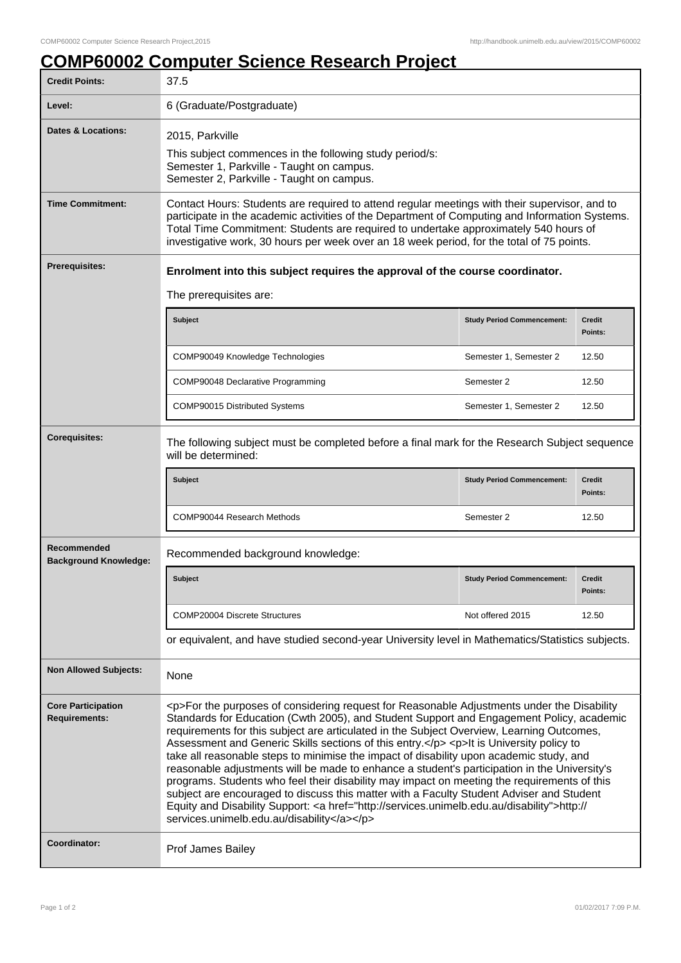## **COMP60002 Computer Science Research Project**

| <b>Credit Points:</b>                             | 37.5                                                                                                                                                                                                                                                                                                                                                                                                                                                                                                                                                                                                                                                                                                                                                                                                                                                                                                                         |                                   |                          |  |
|---------------------------------------------------|------------------------------------------------------------------------------------------------------------------------------------------------------------------------------------------------------------------------------------------------------------------------------------------------------------------------------------------------------------------------------------------------------------------------------------------------------------------------------------------------------------------------------------------------------------------------------------------------------------------------------------------------------------------------------------------------------------------------------------------------------------------------------------------------------------------------------------------------------------------------------------------------------------------------------|-----------------------------------|--------------------------|--|
| Level:                                            | 6 (Graduate/Postgraduate)                                                                                                                                                                                                                                                                                                                                                                                                                                                                                                                                                                                                                                                                                                                                                                                                                                                                                                    |                                   |                          |  |
| <b>Dates &amp; Locations:</b>                     | 2015, Parkville<br>This subject commences in the following study period/s:<br>Semester 1, Parkville - Taught on campus.<br>Semester 2, Parkville - Taught on campus.                                                                                                                                                                                                                                                                                                                                                                                                                                                                                                                                                                                                                                                                                                                                                         |                                   |                          |  |
| <b>Time Commitment:</b>                           | Contact Hours: Students are required to attend regular meetings with their supervisor, and to<br>participate in the academic activities of the Department of Computing and Information Systems.<br>Total Time Commitment: Students are required to undertake approximately 540 hours of<br>investigative work, 30 hours per week over an 18 week period, for the total of 75 points.                                                                                                                                                                                                                                                                                                                                                                                                                                                                                                                                         |                                   |                          |  |
| Prerequisites:                                    | Enrolment into this subject requires the approval of the course coordinator.                                                                                                                                                                                                                                                                                                                                                                                                                                                                                                                                                                                                                                                                                                                                                                                                                                                 |                                   |                          |  |
|                                                   | The prerequisites are:                                                                                                                                                                                                                                                                                                                                                                                                                                                                                                                                                                                                                                                                                                                                                                                                                                                                                                       |                                   |                          |  |
|                                                   | Subject                                                                                                                                                                                                                                                                                                                                                                                                                                                                                                                                                                                                                                                                                                                                                                                                                                                                                                                      | <b>Study Period Commencement:</b> | <b>Credit</b><br>Points: |  |
|                                                   | COMP90049 Knowledge Technologies                                                                                                                                                                                                                                                                                                                                                                                                                                                                                                                                                                                                                                                                                                                                                                                                                                                                                             | Semester 1, Semester 2            | 12.50                    |  |
|                                                   | COMP90048 Declarative Programming                                                                                                                                                                                                                                                                                                                                                                                                                                                                                                                                                                                                                                                                                                                                                                                                                                                                                            | Semester 2                        | 12.50                    |  |
|                                                   | COMP90015 Distributed Systems                                                                                                                                                                                                                                                                                                                                                                                                                                                                                                                                                                                                                                                                                                                                                                                                                                                                                                | Semester 1, Semester 2            | 12.50                    |  |
| <b>Corequisites:</b>                              | The following subject must be completed before a final mark for the Research Subject sequence<br>will be determined:                                                                                                                                                                                                                                                                                                                                                                                                                                                                                                                                                                                                                                                                                                                                                                                                         |                                   |                          |  |
|                                                   |                                                                                                                                                                                                                                                                                                                                                                                                                                                                                                                                                                                                                                                                                                                                                                                                                                                                                                                              |                                   |                          |  |
|                                                   | <b>Subject</b>                                                                                                                                                                                                                                                                                                                                                                                                                                                                                                                                                                                                                                                                                                                                                                                                                                                                                                               | <b>Study Period Commencement:</b> | <b>Credit</b><br>Points: |  |
|                                                   | COMP90044 Research Methods                                                                                                                                                                                                                                                                                                                                                                                                                                                                                                                                                                                                                                                                                                                                                                                                                                                                                                   | Semester 2                        | 12.50                    |  |
| Recommended<br><b>Background Knowledge:</b>       | Recommended background knowledge:                                                                                                                                                                                                                                                                                                                                                                                                                                                                                                                                                                                                                                                                                                                                                                                                                                                                                            |                                   |                          |  |
|                                                   | Subject                                                                                                                                                                                                                                                                                                                                                                                                                                                                                                                                                                                                                                                                                                                                                                                                                                                                                                                      | <b>Study Period Commencement:</b> | <b>Credit</b><br>Points: |  |
|                                                   | <b>COMP20004 Discrete Structures</b>                                                                                                                                                                                                                                                                                                                                                                                                                                                                                                                                                                                                                                                                                                                                                                                                                                                                                         | Not offered 2015                  | 12.50                    |  |
|                                                   | or equivalent, and have studied second-year University level in Mathematics/Statistics subjects.                                                                                                                                                                                                                                                                                                                                                                                                                                                                                                                                                                                                                                                                                                                                                                                                                             |                                   |                          |  |
| <b>Non Allowed Subjects:</b>                      | None                                                                                                                                                                                                                                                                                                                                                                                                                                                                                                                                                                                                                                                                                                                                                                                                                                                                                                                         |                                   |                          |  |
| <b>Core Participation</b><br><b>Requirements:</b> | <p>For the purposes of considering request for Reasonable Adjustments under the Disability<br/>Standards for Education (Cwth 2005), and Student Support and Engagement Policy, academic<br/>requirements for this subject are articulated in the Subject Overview, Learning Outcomes,<br/>Assessment and Generic Skills sections of this entry.</p> <p>lt is University policy to<br/>take all reasonable steps to minimise the impact of disability upon academic study, and<br/>reasonable adjustments will be made to enhance a student's participation in the University's<br/>programs. Students who feel their disability may impact on meeting the requirements of this<br/>subject are encouraged to discuss this matter with a Faculty Student Adviser and Student<br/>Equity and Disability Support: &lt; a href="http://services.unimelb.edu.au/disability"&gt;http://<br/>services.unimelb.edu.au/disability</p> |                                   |                          |  |